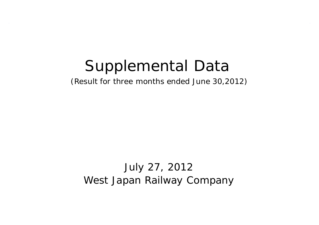# Supplemental Data

(Result for three months ended June 30,2012)

July 27, 2012 West Japan Railway Company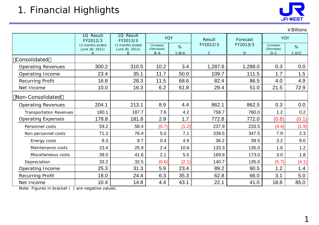

|                                |                                                |                                   |                         |                      |              |          |                         | ¥ Billions |
|--------------------------------|------------------------------------------------|-----------------------------------|-------------------------|----------------------|--------------|----------|-------------------------|------------|
|                                | 1Q Result<br>1Q Result<br>FY2012/3<br>FY2013/3 |                                   |                         | <b>YOY</b><br>Result |              | Forecast | <b>YOY</b>              |            |
|                                | (3 months ended<br>June 30, 2011)              | (3 months ended<br>June 30, 2012) | Increase/<br>(Decrease) | %                    | FY2012/3     | FY2013/3 | Increase/<br>(Decrease) | %          |
|                                | A                                              | B                                 | $B-A$                   | $1-B/A$              | $\mathsf{C}$ | D        | $D-C$                   | $1-D/C$    |
| Consolidated                   |                                                |                                   |                         |                      |              |          |                         |            |
| <b>Operating Revenues</b>      | 300.2                                          | 310.5                             | 10.2                    | 3.4                  | 1,287.6      | 1,288.0  | 0.3                     | 0.0        |
| Operating Income               | 23.4                                           | 35.1                              | 11.7                    | 50.0                 | 109.7        | 111.5    | 1.7                     | 1.5        |
| Recurring Profit               | 16.8                                           | 28.3                              | 11.5                    | 68.6                 | 82.4         | 86.5     | 4.0                     | 4.9        |
| Net Income                     | 10.0                                           | 16.3                              | 6.2                     | 61.8                 | 29.4         | 51.0     | 21.5                    | 72.9       |
| Non-Consolidated               |                                                |                                   |                         |                      |              |          |                         |            |
| <b>Operating Revenues</b>      | 204.1                                          | 213.1                             | 8.9                     | 4.4                  | 862.1        | 862.5    | 0.3                     | 0.0        |
| <b>Transportation Revenues</b> | 180.1                                          | 187.7                             | 7.6                     | 4.2                  | 758.7        | 760.0    | 1.2                     | 0.2        |
| <b>Operating Expenses</b>      | 178.8                                          | 181.8                             | 2.9                     | 1.7                  | 772.8        | 772.0    | (0.8)                   | (0.1)      |
| Personnel costs                | 59.2                                           | 58.4                              | (0.7)                   | (1.2)                | 237.9        | 233.5    | (4.4)                   | (1.9)      |
| Non personnel costs            | 71.3                                           | 76.4                              | 5.0                     | 7.1                  | 339.5        | 347.5    | 7.9                     | 2.3        |
| Energy costs                   | 8.3                                            | 8.7                               | 0.4                     | 4.9                  | 36.2         | 39.5     | 3.2                     | 9.0        |
| Maintenance costs              | 23.4                                           | 25.9                              | 2.4                     | 10.6                 | 133.3        | 135.0    | 1.6                     | $1.2$      |
| Miscellaneous costs            | 39.5                                           | 41.6                              | 2.1                     | 5.5                  | 169.9        | 173.0    | 3.0                     | 1.8        |
| Depreciation                   | 33.2                                           | 32.5                              | (0.6)                   | (2.1)                | 140.7        | 135.0    | (5.7)                   | (4.1)      |
| Operating Income               | 25.3                                           | 31.3                              | 5.9                     | 23.4                 | 89.2         | 90.5     | 1.2                     | 1.4        |
| <b>Recurring Profit</b>        | 18.0                                           | 24.4                              | 6.3                     | 35.3                 | 62.8         | 66.0     | 3.1                     | 5.0        |
| Net Income                     | 10.4                                           | 14.8                              | 4.4                     | 43.1                 | 22.1         | 41.0     | 18.8                    | 85.0       |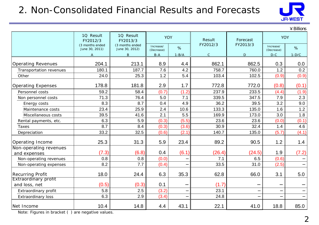## 2. Non-Consolidated Financial Results and Forecasts



 $\vee$  Pillions

|                             |                                   |                                   |                         |           |              |          |                         | ≠ ມແພບ ເ |
|-----------------------------|-----------------------------------|-----------------------------------|-------------------------|-----------|--------------|----------|-------------------------|----------|
|                             | 10 Result<br>FY2012/3             | 1Q Result<br>FY2013/3             |                         | YOY       | Result       | Forecast | <b>YOY</b>              |          |
|                             | (3 months ended<br>June 30, 2011) | (3 months ended<br>June 30, 2012) | Increase/<br>(Decrease) | %         | FY2012/3     | FY2013/3 | Increase/<br>(Decrease) | %        |
|                             | A                                 | B                                 | $B-A$                   | $1 - B/A$ | $\mathsf{C}$ | D        | $D-C$                   | $1-D/C$  |
| <b>Operating Revenues</b>   | 204.1                             | 213.1                             | 8.9                     | 4.4       | 862.1        | 862.5    | 0.3                     | 0.0      |
| Transportation revenues     | 180.1                             | 187.7                             | 7.6                     | 4.2       | 758.7        | 760.0    | 1.2                     | 0.2      |
| Other                       | 24.0                              | 25.3                              | 1.2                     | 5.4       | 103.4        | 102.5    | (0.9)                   | (0.9)    |
| <b>Operating Expenses</b>   | 178.8                             | 181.8                             | 2.9                     | 1.7       | 772.8        | 772.0    | (0.8)                   | (0.1)    |
| Personnel costs             | 59.2                              | 58.4                              | (0.7)                   | (1.2)     | 237.9        | 233.5    | (4.4)                   | (1.9)    |
| Non personnel costs         | 71.3                              | 76.4                              | 5.0                     | 7.1       | 339.5        | 347.5    | 7.9                     | 2.3      |
| Energy costs                | 8.3                               | 8.7                               | 0.4                     | 4.9       | 36.2         | 39.5     | 3.2                     | 9.0      |
| Maintenance costs           | 23.4                              | 25.9                              | 2.4                     | 10.6      | 133.3        | 135.0    | 1.6                     | $1.2$    |
| Miscellaneous costs         | 39.5                              | 41.6                              | 2.1                     | 5.5       | 169.9        | 173.0    | 3.0                     | 1.8      |
| Rental payments, etc.       | 6.3                               | 5.9                               | (0.3)                   | (5.5)     | 23.6         | 23.6     | (0.0)                   | (0.1)    |
| Taxes                       | 8.7                               | 8.4                               | (0.3)                   | (3.6)     | 30.9         | 32.4     | 1.4                     | 4.6      |
| Depreciation                | 33.2                              | 32.5                              | (0.6)                   | (2.1)     | 140.7        | 135.0    | (5.7)                   | (4.1)    |
| Operating Income            | 25.3                              | 31.3                              | 5.9                     | 23.4      | 89.2         | 90.5     | 1.2                     | 1.4      |
| Non-operating revenues      |                                   |                                   |                         |           |              |          |                         |          |
| and expenses                | (7.3)                             | (6.8)                             | 0.4                     | (6.1)     | (26.4)       | (24.5)   | 1.9                     | (7.2)    |
| Non-operating revenues      | 0.8                               | 0.8                               | (0.0)                   |           | 7.1          | 6.5      | (0.6)                   |          |
| Non-operating expenses      | 8.2                               | 7.7                               | (0.4)                   |           | 33.5         | 31.0     | (2.5)                   |          |
| Recurring Profit            | 18.0                              | 24.4                              | 6.3                     | 35.3      | 62.8         | 66.0     | 3.1                     | 5.0      |
| <b>Extraordinary profit</b> | (0.5)                             | (0.3)                             | 0.1                     |           | (1.7)        |          |                         |          |
| and loss, net               |                                   |                                   |                         |           |              |          |                         |          |
| Extraordinary profit        | 5.8                               | 2.5                               | (3.2)                   |           | 23.1         |          |                         |          |
| <b>Extraordinary loss</b>   | 6.3                               | 2.9                               | (3.4)                   |           | 24.8         |          |                         |          |
| Net Income                  | 10.4                              | 14.8                              | 4.4                     | 43.1      | 22.1         | 41.0     | 18.8                    | 85.0     |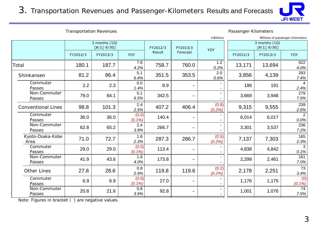3. Transportation Revenues and Passenger-Kilometers Results and Forecasts



Transportation Revenues **Passenger-Kilometers** 

|                           |                           |          |                |          |          | ¥ Billions                |          |          | Millions of passenger-kilometers |
|---------------------------|---------------------------|----------|----------------|----------|----------|---------------------------|----------|----------|----------------------------------|
|                           | 3 months (1Q)<br>4/1 6/30 |          | FY2012/3       | FY2013/3 | YOY      | 3 months (1Q)<br>4/1 6/30 |          |          |                                  |
|                           | FY2012/3                  | FY2013/3 | <b>YOY</b>     | Result   | Forecast |                           | FY2012/3 | FY2013/3 | <b>YOY</b>                       |
| Total                     | 180.1                     | 187.7    | 7.6<br>4.2%    | 758.7    | 760.0    | 1.2<br>0.2%               | 13,171   | 13,694   | 522<br>4.0%                      |
| Shinkansen                | 81.2                      | 86.4     | 5.1<br>6.4%    | 351.5    | 353.5    | 2.0<br>0.6%               | 3,856    | 4,139    | 283<br>7.4%                      |
| Commuter<br>Passes        | 2.2                       | 2.3      | 0.0<br>1.4%    | 8.9      |          |                           | 186      | 191      | 4<br>2.4%                        |
| Non-Commuter<br>Passes    | 79.0                      | 84.1     | 5.1<br>6.5%    | 342.5    |          |                           | 3,669    | 3,948    | 279<br>7.6%                      |
| <b>Conventional Lines</b> | 98.8                      | 101.3    | 2.4<br>2.5%    | 407.2    | 406.4    | (0.8)<br>(0.2%)           | 9,315    | 9,555    | 239<br>2.6%                      |
| Commuter<br>Passes        | 36.0                      | 36.0     | (0.0)<br>(0.1% | 140.4    |          |                           | 6,014    | 6,017    | $\overline{2}$<br>$0.0\%$        |
| Non-Commuter<br>Passes    | 62.8                      | 65.2     | 2.4<br>3.9%    | 266.7    |          |                           | 3,301    | 3,537    | 236<br>7.2%                      |
| Kyoto-Osaka-Kobe<br>Area  | 71.0                      | 72.7     | 1.6<br>2.3%    | 287.3    | 286.7    | (0.5)<br>(0.2%)           | 7,137    | 7,303    | 165<br>2.3%                      |
| Commuter<br>Passes        | 29.0                      | 29.0     | (0.0)<br>(0.1% | 113.4    |          |                           | 4,838    | 4,842    | 3<br>0.1%                        |
| Non-Commuter<br>Passes    | 41.9                      | 43.6     | 1.6<br>4.0%    | 173.8    |          |                           | 2,299    | 2,461    | 161<br>7.0%                      |
| <b>Other Lines</b>        | 27.8                      | 28.6     | 0.8<br>2.9%    | 119.8    | 119.6    | (0.2)<br>(0.2%)           | 2,178    | 2,251    | 73<br>3.4%                       |
| Commuter<br>Passes        | 6.9                       | 6.9      | (0.0)<br>(0.1% | 27.0     |          |                           | 1,176    | 1,175    | (0)<br>$(0.1\%)$                 |
| Non-Commuter<br>Passes    | 20.8                      | 21.6     | 0.8<br>3.9%    | 92.8     |          |                           | 1,001    | 1,076    | 74<br>7.5%                       |
|                           |                           |          |                |          |          |                           |          |          |                                  |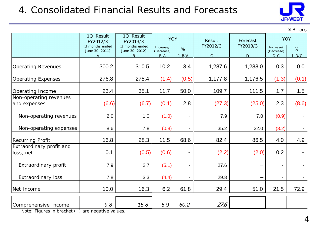## 4. Consolidated Financial Results and Forecasts



|                                       |                                   |                                   |                         |                          |                |          |                          | $4$ Billions |
|---------------------------------------|-----------------------------------|-----------------------------------|-------------------------|--------------------------|----------------|----------|--------------------------|--------------|
|                                       | 10 Result<br>FY2012/3             | 1Q Result<br>FY2013/3             | <b>YOY</b>              |                          | Result         | Forecast | <b>YOY</b>               |              |
|                                       | (3 months ended<br>June 30, 2011) | (3 months ended<br>June 30, 2012) | Increase/<br>(Decrease) | %                        | FY2012/3       | FY2013/3 | Increase/<br>(Decrease)  | %            |
|                                       | A                                 | $\overline{B}$                    | $B-A$                   | $1 - B/A$                | $\overline{C}$ | D        | $D-C$                    | $1-D/C$      |
| <b>Operating Revenues</b>             | 300.2                             | 310.5                             | 10.2                    | 3.4                      | 1,287.6        | 1,288.0  | 0.3                      | 0.0          |
| <b>Operating Expenses</b>             | 276.8                             | 275.4                             | (1.4)                   | (0.5)                    | 1,177.8        | 1,176.5  | (1.3)                    | (0.1)        |
| Operating Income                      | 23.4                              | 35.1                              | 11.7                    | 50.0                     | 109.7          | 111.5    | 1.7                      | 1.5          |
| Non-operating revenues                |                                   |                                   |                         |                          |                |          |                          |              |
| and expenses                          | (6.6)                             | (6.7)                             | (0.1)                   | 2.8                      | (27.3)         | (25.0)   | 2.3                      | (8.6)        |
| Non-operating revenues                | 2.0                               | 1.0                               | (1.0)                   |                          | 7.9            | 7.0      | (0.9)                    |              |
| Non-operating expenses                | 8.6                               | 7.8                               | (0.8)                   |                          | 35.2           | 32.0     | (3.2)                    |              |
| <b>Recurring Profit</b>               | 16.8                              | 28.3                              | 11.5                    | 68.6                     | 82.4           | 86.5     | 4.0                      | 4.9          |
| Extraordinary profit and<br>loss, net | 0.1                               | (0.5)                             | (0.6)                   | $\overline{\phantom{a}}$ | (2.2)          | (2.0)    | 0.2                      |              |
|                                       |                                   |                                   |                         |                          |                |          |                          |              |
| Extraordinary profit                  | 7.9                               | 2.7                               | (5.1)                   | $\overline{\phantom{a}}$ | 27.6           |          | $\overline{\phantom{a}}$ |              |
| <b>Extraordinary loss</b>             | 7.8                               | 3.3                               | (4.4)                   |                          | 29.8           |          | $\overline{\phantom{a}}$ |              |
| Net Income                            | 10.0                              | 16.3                              | 6.2                     | 61.8                     | 29.4           | 51.0     | 21.5                     | 72.9         |
| Comprehensive Income                  | 9.8                               | 15.8                              | 5.9                     | 60.2                     | 27.6           |          |                          |              |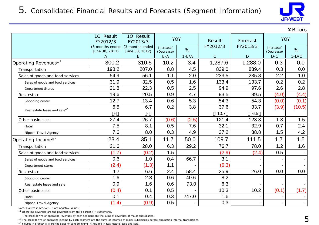

 $\angle$  Billions

|                                          | 1Q Result<br>FY2012/3             | 1Q Result<br>FY2013/3             | <b>YOY</b>              |         | Result<br>Forecast |          | <b>YOY</b>              |                |
|------------------------------------------|-----------------------------------|-----------------------------------|-------------------------|---------|--------------------|----------|-------------------------|----------------|
|                                          | (3 months ended<br>June 30, 2011) | (3 months ended<br>June 30, 2012) | Increase/<br>(Decrease) | %       | FY2012/3           | FY2013/3 | Increase/<br>(Decrease) | %              |
|                                          | Α                                 | B                                 | $B-A$                   | $1-B/A$ | $\mathsf{C}$       | D        | $D-C$                   | $1-D/C$        |
| Operating Revenues <sup>*1</sup>         | 300.2                             | 310.5                             | 10.2                    | 3.4     | 1,287.6            | 1,288.0  | 0.3                     | 0.0            |
| Transportation                           | 198.2                             | 207.0                             | 8.8                     | 4.5     | 839.0              | 839.4    | 0.3                     | 0.0            |
| Sales of goods and food services         | 54.9                              | 56.1                              | 1.1                     | 2.0     | 233.5              | 235.8    | 2.2                     | 1.0            |
| Sales of goods and food services         | 31.9                              | 32.5                              | 0.5                     | 1.6     | 133.4              | 133.7    | 0.2                     | 0.2            |
| Department Stores                        | 21.8                              | 22.3                              | 0.5                     | 2.5     | 94.9               | 97.6     | 2.6                     | 2.8            |
| Real estate                              | 19.6                              | 20.5                              | 0.9                     | 4.7     | 93.5               | 89.5     | (4.0)                   | (4.4)          |
| Shopping center                          | 12.7                              | 13.4                              | 0.6                     | 5.3     | 54.3               | 54.3     | (0.0)                   | (0.1)          |
|                                          | 6.5                               | 6.7                               | 0.2                     | 3.8     | 37.6               | 33.7     | (3.9)                   | (10.5)         |
| Real estate lease and sale* <sup>3</sup> |                                   |                                   |                         |         | 10.7               | 6.5      |                         |                |
| Other businesses                         | 27.4                              | 26.7                              | (0.6)                   | (2.5)   | 121.4              | 123.3    | 1.8                     | 1.5            |
| Hotel                                    | 7.5                               | 8.1                               | 0.5                     | 7.6     | 32.1               | 32.9     | 0.7                     | 2.4            |
| Nippon Travel Agency                     | 7.6                               | 8.0                               | 0.3                     | 4.9     | 37.2               | 38.8     | 1.5                     | 4.2            |
| Operating Income* <sup>2</sup>           | 23.4                              | 35.1                              | 11.7                    | 50.0    | 109.7              | 111.5    | 1.7                     | 1.5            |
| Transportation                           | 21.6                              | 28.0                              | 6.3                     | 29.2    | 76.7               | 78.0     | 1.2                     | 1.6            |
| Sales of goods and food services         | (1.7)                             | (0.2)                             | 1.5                     |         | (2.9)              | (2.4)    | 0.5                     |                |
| Sales of goods and food services         | 0.6                               | 1.0                               | 0.4                     | 66.7    | 3.1                |          | $\blacksquare$          | $\blacksquare$ |
| Department stores                        | (2.4)                             | (1.3)                             | 1.1                     |         | (6.3)              |          |                         |                |
| Real estate                              | 4.2                               | 6.6                               | 2.4                     | 58.4    | 25.9               | 26.0     | 0.0                     | 0.0            |
| Shopping center                          | 1.6                               | 2.3                               | 0.6                     | 40.6    | 8.2                |          | $\blacksquare$          |                |
| Real estate lease and sale               | 0.9                               | 1.6                               | 0.6                     | 73.0    | 6.3                |          |                         |                |
| Other businesses                         | (0.4)                             | 0.1                               | 0.5                     |         | 10.3               | 10.2     | (0.1)                   | (1.7)          |
| Hotel                                    | 0.1                               | 0.4                               | 0.3                     | 247.0   | 1.6                |          |                         |                |
| Nippon Travel Agency                     | (1.4)                             | (0.9)                             | 0.5                     |         | 0.3                |          |                         |                |

Note: Figures in bracket ( ) are negative values.

 $*$ <sup>1</sup> Operating revenues are the revenues from third parties ( = customers).

The breakdowns of operating revenues by each segment are the sums of revenues of major subsidiaries.

\*<sup>2</sup> The breakdowns of operating income by each segment are the sums of incomes of major subsidiaries before eliminating internal transactions.

\*3 Figures in bracket are the sales of condominiums. (Included in Real estate lease and sale)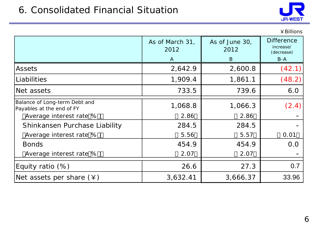#### 6. Consolidated Financial Situation



|                                                            |                         |                        | ¥Billions                                    |
|------------------------------------------------------------|-------------------------|------------------------|----------------------------------------------|
|                                                            | As of March 31,<br>2012 | As of June 30,<br>2012 | <b>Difference</b><br>increase/<br>(decrease) |
|                                                            | $\mathsf{A}$            | B                      | $B-A$                                        |
| Assets                                                     | 2,642.9                 | 2,600.8                | (42.1)                                       |
| Liabilities                                                | 1,909.4                 | 1,861.1                | (48.2)                                       |
| Net assets                                                 | 733.5                   | 739.6                  | 6.0                                          |
| Balance of Long-term Debt and<br>Payables at the end of FY | 1,068.8                 | 1,066.3                | (2.4)                                        |
| Average interest rate %                                    | 2.86                    | 2.86                   |                                              |
| Shinkansen Purchase Liability                              | 284.5                   | 284.5                  |                                              |
| Average interest rate %                                    | 5.56                    | 5.57                   | 0.01                                         |
| <b>Bonds</b>                                               | 454.9                   | 454.9                  | 0.0                                          |
| Average interest rate %                                    | 2.07                    | 2.07                   |                                              |
| Equity ratio $(\%)$                                        | 26.6                    | 27.3                   | 0.7                                          |
| Net assets per share $(\yen)$                              | 3,632.41                | 3,666.37               | 33.96                                        |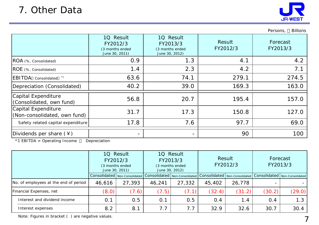

Persons, Billions

|                                                     | 1Q Result<br>FY2012/3<br>(3 months ended<br>June 30, 2011) | 10 Result<br>FY2013/3<br>(3 months ended<br>June 30, 2012) | Result<br>FY2012/3 | Forecast<br>FY2013/3 |
|-----------------------------------------------------|------------------------------------------------------------|------------------------------------------------------------|--------------------|----------------------|
| ROA (%, Consolidated)                               | 0.9                                                        | 1.3                                                        | 4.1                | 4.2                  |
| ROE (%, Consolidated)                               | 1.4                                                        | 2.3                                                        | 4.2                | 7.1                  |
| EBITDA Consolidated *1                              | 63.6                                                       | 74.1                                                       | 279.1              | 274.5                |
| Depreciation (Consolidated)                         | 40.2                                                       | 39.0                                                       | 169.3              | 163.0                |
| Capital Expenditure<br>(Consolidated, own fund)     | 56.8                                                       | 20.7                                                       | 195.4              | 157.0                |
| Capital Expenditure<br>(Non-consolidated, own fund) | 31.7                                                       | 17.3                                                       | 150.8              | 127.0                |
| Safety related capital expenditure                  | 17.8                                                       | 7.6                                                        | 97.7               | 69.0                 |
| Dividends per share $(*)$                           |                                                            | $\overline{\phantom{0}}$                                   | 90                 | 100                  |

\*1 EBITDA = Operating Income Depreciation

Consolidated Non-Consolidated Consolidated Non-Consolidated Consolidated Non-Consolidated Consolidated Non-Consolidated 46,616 | 27,393 | 46,241 | 27,332 || 45,402 | 26,778 |  $(8.0)$   $(7.6)$   $(7.5)$   $(7.1)$   $(32.4)$   $(31.2)$   $(30.2)$   $(29.0)$ 0.1 0.5 0.1 0.5 0.4 1.4 0.4 1.3 8.2 | 8.1 | 7.7 | 7.7 | 32.9 | 32.6 | 30.7 | 30.4 1Q Result FY2013/3 (3 months ended June 30, 2012) Forecast FY2013/3 No. of employees at the end of period Interest expenses 1Q Result FY2012/3 (3 months ended June 30, 2011) Result FY2012/3 Financial Expenses, net Interest and dividend income